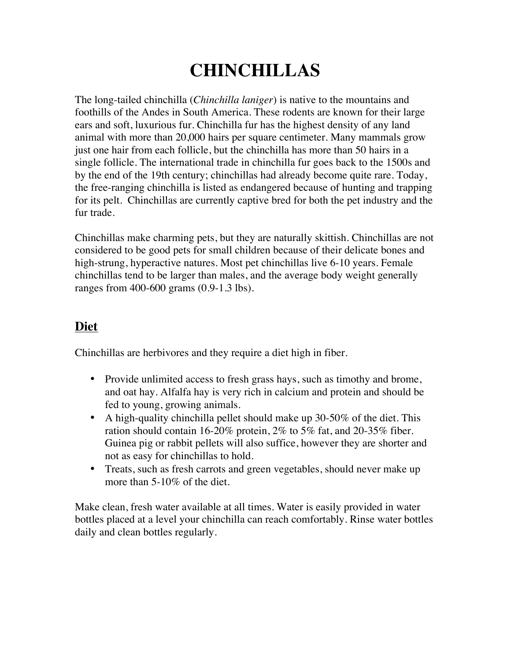# **CHINCHILLAS**

The long-tailed chinchilla (*Chinchilla laniger*) is native to the mountains and foothills of the Andes in South America. These rodents are known for their large ears and soft, luxurious fur. Chinchilla fur has the highest density of any land animal with more than 20,000 hairs per square centimeter. Many mammals grow just one hair from each follicle, but the chinchilla has more than 50 hairs in a single follicle. The international trade in chinchilla fur goes back to the 1500s and by the end of the 19th century; chinchillas had already become quite rare. Today, the free-ranging chinchilla is listed as endangered because of hunting and trapping for its pelt. Chinchillas are currently captive bred for both the pet industry and the fur trade.

Chinchillas make charming pets, but they are naturally skittish. Chinchillas are not considered to be good pets for small children because of their delicate bones and high-strung, hyperactive natures. Most pet chinchillas live 6-10 years. Female chinchillas tend to be larger than males, and the average body weight generally ranges from 400-600 grams (0.9-1.3 lbs).

## **Diet**

Chinchillas are herbivores and they require a diet high in fiber.

- Provide unlimited access to fresh grass hays, such as timothy and brome, and oat hay. Alfalfa hay is very rich in calcium and protein and should be fed to young, growing animals.
- A high-quality chinchilla pellet should make up 30-50% of the diet. This ration should contain 16-20% protein, 2% to 5% fat, and 20-35% fiber. Guinea pig or rabbit pellets will also suffice, however they are shorter and not as easy for chinchillas to hold.
- Treats, such as fresh carrots and green vegetables, should never make up more than 5-10% of the diet.

Make clean, fresh water available at all times. Water is easily provided in water bottles placed at a level your chinchilla can reach comfortably. Rinse water bottles daily and clean bottles regularly.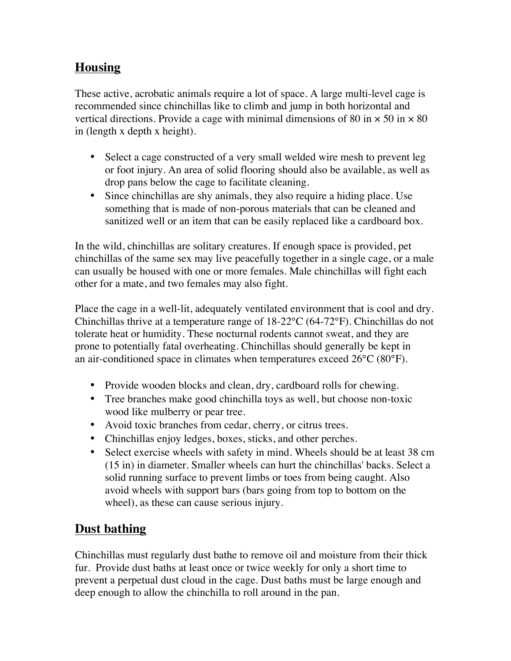#### **Housing**

These active, acrobatic animals require a lot of space. A large multi-level cage is recommended since chinchillas like to climb and jump in both horizontal and vertical directions. Provide a cage with minimal dimensions of 80 in  $\times$  50 in  $\times$  80 in (length x depth x height).

- Select a cage constructed of a very small welded wire mesh to prevent leg or foot injury. An area of solid flooring should also be available, as well as drop pans below the cage to facilitate cleaning.
- Since chinchillas are shy animals, they also require a hiding place. Use something that is made of non-porous materials that can be cleaned and sanitized well or an item that can be easily replaced like a cardboard box.

In the wild, chinchillas are solitary creatures. If enough space is provided, pet chinchillas of the same sex may live peacefully together in a single cage, or a male can usually be housed with one or more females. Male chinchillas will fight each other for a mate, and two females may also fight.

Place the cage in a well-lit, adequately ventilated environment that is cool and dry. Chinchillas thrive at a temperature range of 18-22°C (64-72°F). Chinchillas do not tolerate heat or humidity. These nocturnal rodents cannot sweat, and they are prone to potentially fatal overheating. Chinchillas should generally be kept in an air-conditioned space in climates when temperatures exceed 26°C (80°F).

- Provide wooden blocks and clean, dry, cardboard rolls for chewing.
- Tree branches make good chinchilla toys as well, but choose non-toxic wood like mulberry or pear tree.
- Avoid toxic branches from cedar, cherry, or citrus trees.
- Chinchillas enjoy ledges, boxes, sticks, and other perches.
- Select exercise wheels with safety in mind. Wheels should be at least 38 cm (15 in) in diameter. Smaller wheels can hurt the chinchillas' backs. Select a solid running surface to prevent limbs or toes from being caught. Also avoid wheels with support bars (bars going from top to bottom on the wheel), as these can cause serious injury.

### **Dust bathing**

Chinchillas must regularly dust bathe to remove oil and moisture from their thick fur. Provide dust baths at least once or twice weekly for only a short time to prevent a perpetual dust cloud in the cage. Dust baths must be large enough and deep enough to allow the chinchilla to roll around in the pan.